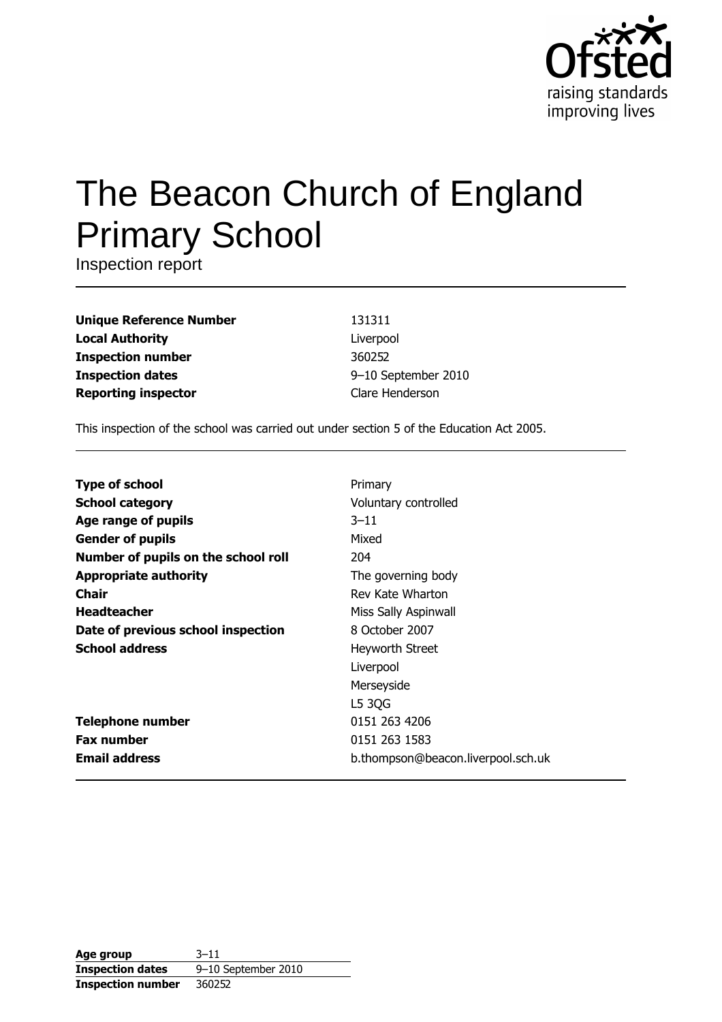

# The Beacon Church of England **Primary School**

Inspection report

| <b>Unique Reference Number</b> |
|--------------------------------|
| <b>Local Authority</b>         |
| <b>Inspection number</b>       |
| <b>Inspection dates</b>        |
| <b>Reporting inspector</b>     |

131311 Liverpool 360252 9-10 September 2010 Clare Henderson

This inspection of the school was carried out under section 5 of the Education Act 2005.

| <b>Type of school</b>               | Primary                            |
|-------------------------------------|------------------------------------|
| <b>School category</b>              | Voluntary controlled               |
| Age range of pupils                 | $3 - 11$                           |
| <b>Gender of pupils</b>             | Mixed                              |
| Number of pupils on the school roll | 204                                |
| <b>Appropriate authority</b>        | The governing body                 |
| <b>Chair</b>                        | Rev Kate Wharton                   |
| <b>Headteacher</b>                  | Miss Sally Aspinwall               |
| Date of previous school inspection  | 8 October 2007                     |
| <b>School address</b>               | Heyworth Street                    |
|                                     | Liverpool                          |
|                                     | Merseyside                         |
|                                     | L5 3QG                             |
| <b>Telephone number</b>             | 0151 263 4206                      |
| <b>Fax number</b>                   | 0151 263 1583                      |
| <b>Email address</b>                | b.thompson@beacon.liverpool.sch.uk |

| Age group                | $3 - 11$            |
|--------------------------|---------------------|
| <b>Inspection dates</b>  | 9-10 September 2010 |
| <b>Inspection number</b> | 360252              |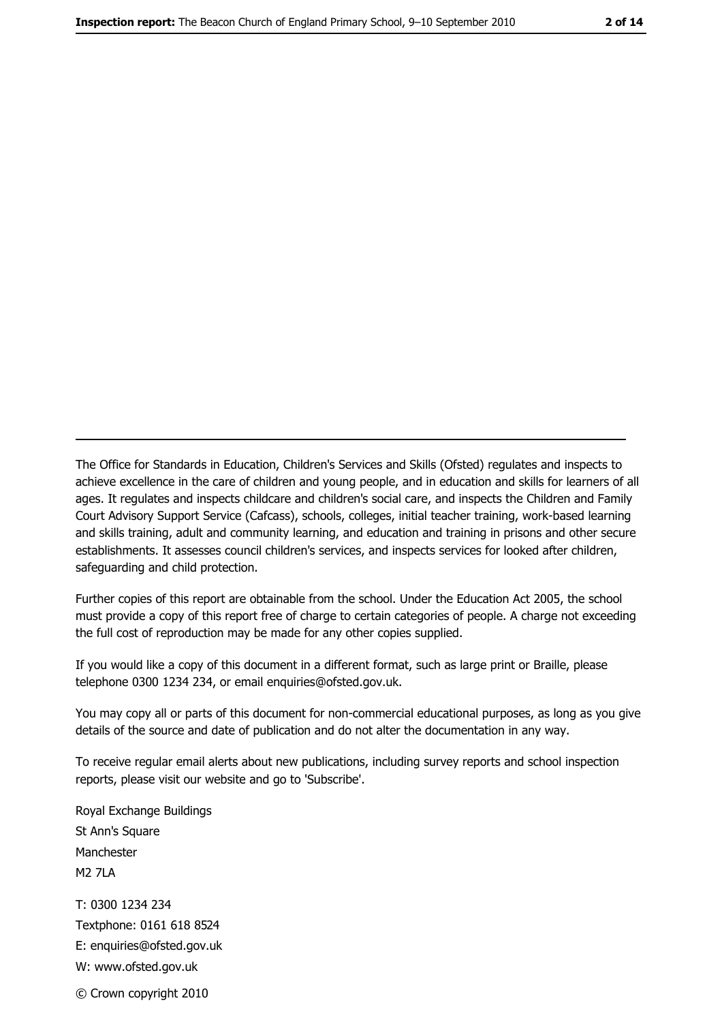The Office for Standards in Education, Children's Services and Skills (Ofsted) regulates and inspects to achieve excellence in the care of children and young people, and in education and skills for learners of all ages. It regulates and inspects childcare and children's social care, and inspects the Children and Family Court Advisory Support Service (Cafcass), schools, colleges, initial teacher training, work-based learning and skills training, adult and community learning, and education and training in prisons and other secure establishments. It assesses council children's services, and inspects services for looked after children, safeguarding and child protection.

Further copies of this report are obtainable from the school. Under the Education Act 2005, the school must provide a copy of this report free of charge to certain categories of people. A charge not exceeding the full cost of reproduction may be made for any other copies supplied.

If you would like a copy of this document in a different format, such as large print or Braille, please telephone 0300 1234 234, or email enquiries@ofsted.gov.uk.

You may copy all or parts of this document for non-commercial educational purposes, as long as you give details of the source and date of publication and do not alter the documentation in any way.

To receive regular email alerts about new publications, including survey reports and school inspection reports, please visit our website and go to 'Subscribe'.

Royal Exchange Buildings St Ann's Square Manchester **M2 7I A** T: 0300 1234 234 Textphone: 0161 618 8524 E: enquiries@ofsted.gov.uk W: www.ofsted.gov.uk

© Crown copyright 2010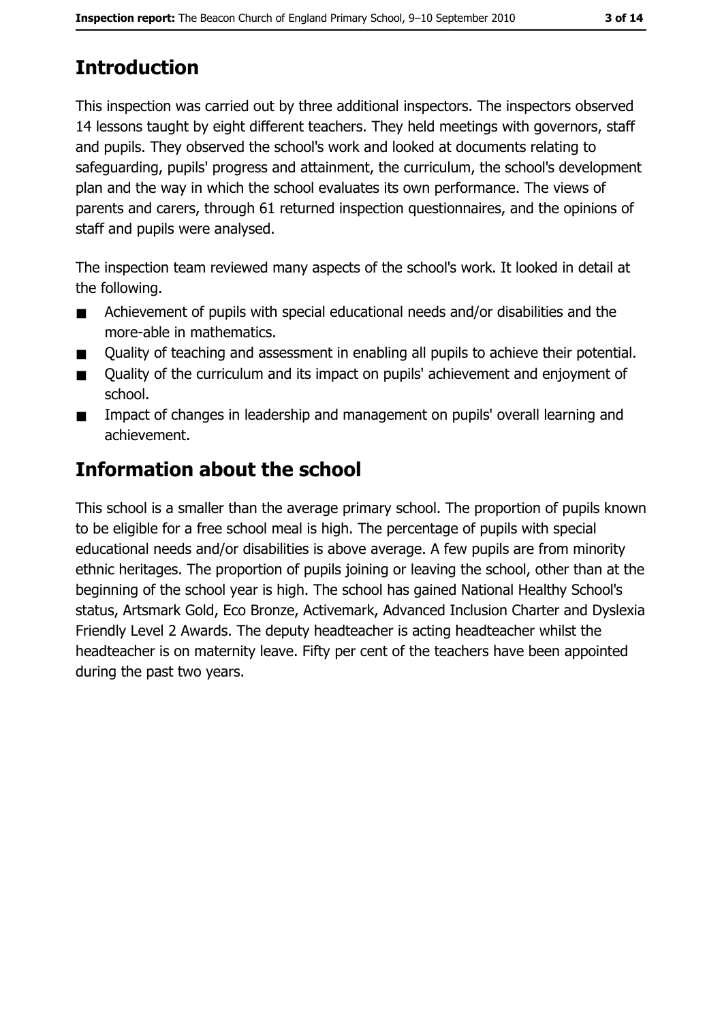3 of 14

## **Introduction**

This inspection was carried out by three additional inspectors. The inspectors observed 14 lessons taught by eight different teachers. They held meetings with governors, staff and pupils. They observed the school's work and looked at documents relating to safeguarding, pupils' progress and attainment, the curriculum, the school's development plan and the way in which the school evaluates its own performance. The views of parents and carers, through 61 returned inspection questionnaires, and the opinions of staff and pupils were analysed.

The inspection team reviewed many aspects of the school's work. It looked in detail at the following.

- Achievement of pupils with special educational needs and/or disabilities and the  $\blacksquare$ more-able in mathematics.
- Ouality of teaching and assessment in enabling all pupils to achieve their potential.  $\blacksquare$
- Quality of the curriculum and its impact on pupils' achievement and enjoyment of  $\blacksquare$ school.
- Impact of changes in leadership and management on pupils' overall learning and  $\blacksquare$ achievement.

### **Information about the school**

This school is a smaller than the average primary school. The proportion of pupils known to be eligible for a free school meal is high. The percentage of pupils with special educational needs and/or disabilities is above average. A few pupils are from minority ethnic heritages. The proportion of pupils joining or leaving the school, other than at the beginning of the school year is high. The school has gained National Healthy School's status, Artsmark Gold, Eco Bronze, Activemark, Advanced Inclusion Charter and Dyslexia Friendly Level 2 Awards. The deputy headteacher is acting headteacher whilst the headteacher is on maternity leave. Fifty per cent of the teachers have been appointed during the past two years.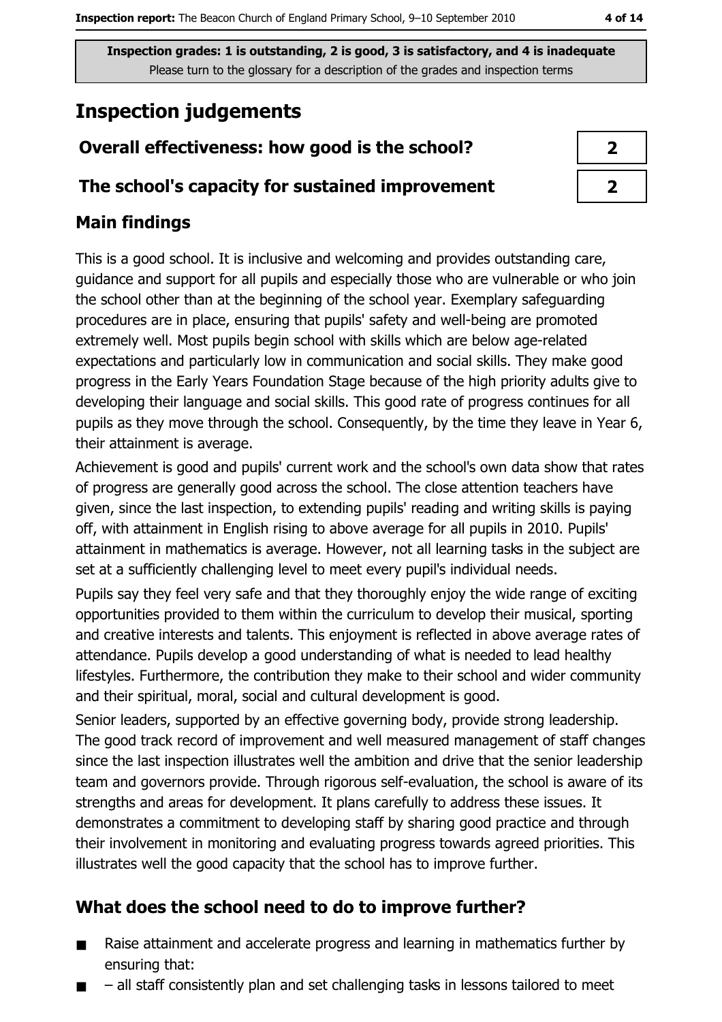### **Inspection judgements**

### Overall effectiveness: how good is the school?

#### The school's capacity for sustained improvement

#### **Main findings**

This is a good school. It is inclusive and welcoming and provides outstanding care, guidance and support for all pupils and especially those who are vulnerable or who join the school other than at the beginning of the school year. Exemplary safeguarding procedures are in place, ensuring that pupils' safety and well-being are promoted extremely well. Most pupils begin school with skills which are below age-related expectations and particularly low in communication and social skills. They make good progress in the Early Years Foundation Stage because of the high priority adults give to developing their language and social skills. This good rate of progress continues for all pupils as they move through the school. Consequently, by the time they leave in Year 6, their attainment is average.

Achievement is good and pupils' current work and the school's own data show that rates of progress are generally good across the school. The close attention teachers have given, since the last inspection, to extending pupils' reading and writing skills is paying off, with attainment in English rising to above average for all pupils in 2010. Pupils' attainment in mathematics is average. However, not all learning tasks in the subject are set at a sufficiently challenging level to meet every pupil's individual needs.

Pupils say they feel very safe and that they thoroughly enjoy the wide range of exciting opportunities provided to them within the curriculum to develop their musical, sporting and creative interests and talents. This enjoyment is reflected in above average rates of attendance. Pupils develop a good understanding of what is needed to lead healthy lifestyles. Furthermore, the contribution they make to their school and wider community and their spiritual, moral, social and cultural development is good.

Senior leaders, supported by an effective governing body, provide strong leadership. The good track record of improvement and well measured management of staff changes since the last inspection illustrates well the ambition and drive that the senior leadership team and governors provide. Through rigorous self-evaluation, the school is aware of its strengths and areas for development. It plans carefully to address these issues. It demonstrates a commitment to developing staff by sharing good practice and through their involvement in monitoring and evaluating progress towards agreed priorities. This illustrates well the good capacity that the school has to improve further.

#### What does the school need to do to improve further?

- Raise attainment and accelerate progress and learning in mathematics further by  $\blacksquare$ ensuring that:
- all staff consistently plan and set challenging tasks in lessons tailored to meet

| J |  |
|---|--|
|   |  |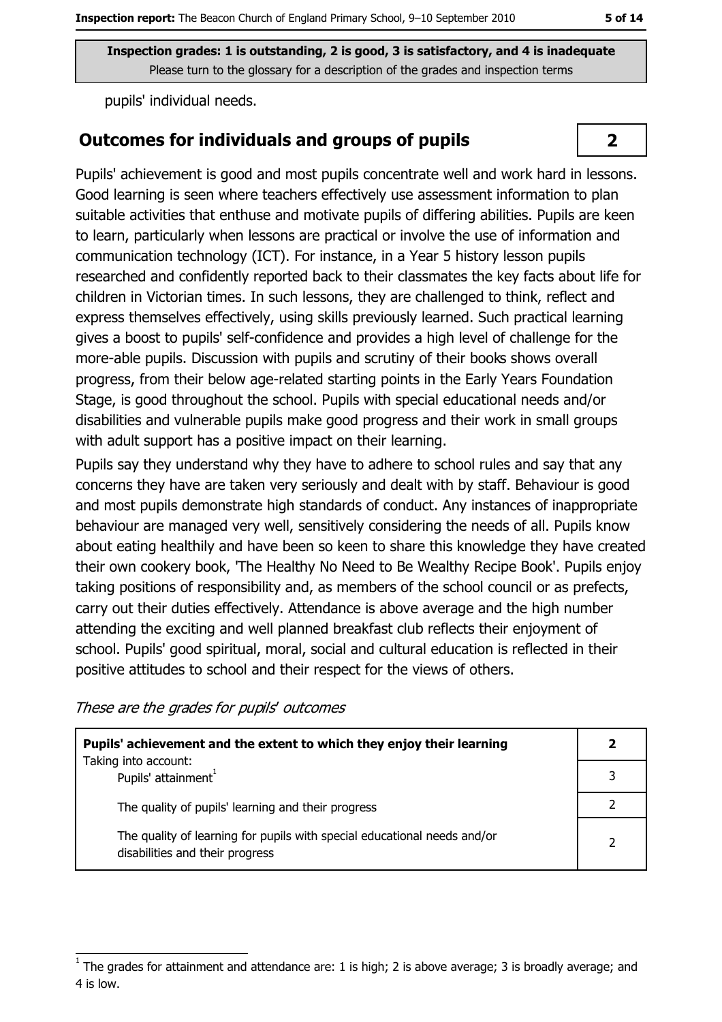pupils' individual needs.

#### **Outcomes for individuals and groups of pupils**

Pupils' achievement is good and most pupils concentrate well and work hard in lessons. Good learning is seen where teachers effectively use assessment information to plan suitable activities that enthuse and motivate pupils of differing abilities. Pupils are keen to learn, particularly when lessons are practical or involve the use of information and communication technology (ICT). For instance, in a Year 5 history lesson pupils researched and confidently reported back to their classmates the key facts about life for children in Victorian times. In such lessons, they are challenged to think, reflect and express themselves effectively, using skills previously learned. Such practical learning gives a boost to pupils' self-confidence and provides a high level of challenge for the more-able pupils. Discussion with pupils and scrutiny of their books shows overall progress, from their below age-related starting points in the Early Years Foundation Stage, is good throughout the school. Pupils with special educational needs and/or disabilities and vulnerable pupils make good progress and their work in small groups with adult support has a positive impact on their learning.

Pupils say they understand why they have to adhere to school rules and say that any concerns they have are taken very seriously and dealt with by staff. Behaviour is good and most pupils demonstrate high standards of conduct. Any instances of inappropriate behaviour are managed very well, sensitively considering the needs of all. Pupils know about eating healthily and have been so keen to share this knowledge they have created their own cookery book, The Healthy No Need to Be Wealthy Recipe Book'. Pupils enjoy taking positions of responsibility and, as members of the school council or as prefects, carry out their duties effectively. Attendance is above average and the high number attending the exciting and well planned breakfast club reflects their enjoyment of school. Pupils' good spiritual, moral, social and cultural education is reflected in their positive attitudes to school and their respect for the views of others.

These are the grades for pupils' outcomes

| Pupils' achievement and the extent to which they enjoy their learning                                       |               |  |
|-------------------------------------------------------------------------------------------------------------|---------------|--|
| Taking into account:<br>Pupils' attainment <sup>1</sup>                                                     |               |  |
| The quality of pupils' learning and their progress                                                          |               |  |
| The quality of learning for pupils with special educational needs and/or<br>disabilities and their progress | $\mathcal{D}$ |  |

 $\overline{2}$ 

The grades for attainment and attendance are: 1 is high; 2 is above average; 3 is broadly average; and 4 is low.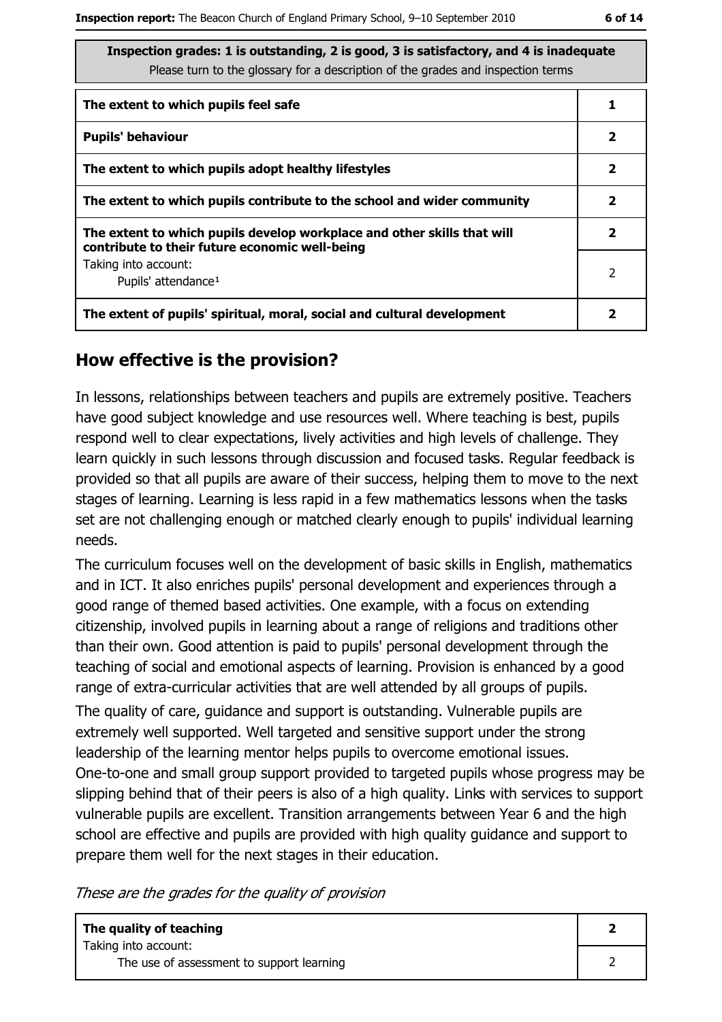| Inspection grades: 1 is outstanding, 2 is good, 3 is satisfactory, and 4 is inadequate<br>Please turn to the glossary for a description of the grades and inspection terms |                |  |  |  |
|----------------------------------------------------------------------------------------------------------------------------------------------------------------------------|----------------|--|--|--|
| The extent to which pupils feel safe                                                                                                                                       |                |  |  |  |
| <b>Pupils' behaviour</b>                                                                                                                                                   | $\mathbf{2}$   |  |  |  |
| The extent to which pupils adopt healthy lifestyles                                                                                                                        | $\overline{2}$ |  |  |  |
| The extent to which pupils contribute to the school and wider community                                                                                                    | 2              |  |  |  |
| The extent to which pupils develop workplace and other skills that will<br>contribute to their future economic well-being                                                  | $\overline{2}$ |  |  |  |
| Taking into account:<br>Pupils' attendance <sup>1</sup>                                                                                                                    | 2              |  |  |  |
| The extent of pupils' spiritual, moral, social and cultural development                                                                                                    |                |  |  |  |

#### How effective is the provision?

In lessons, relationships between teachers and pupils are extremely positive. Teachers have good subject knowledge and use resources well. Where teaching is best, pupils respond well to clear expectations, lively activities and high levels of challenge. They learn quickly in such lessons through discussion and focused tasks. Regular feedback is provided so that all pupils are aware of their success, helping them to move to the next stages of learning. Learning is less rapid in a few mathematics lessons when the tasks set are not challenging enough or matched clearly enough to pupils' individual learning needs.

The curriculum focuses well on the development of basic skills in English, mathematics and in ICT. It also enriches pupils' personal development and experiences through a good range of themed based activities. One example, with a focus on extending citizenship, involved pupils in learning about a range of religions and traditions other than their own. Good attention is paid to pupils' personal development through the teaching of social and emotional aspects of learning. Provision is enhanced by a good range of extra-curricular activities that are well attended by all groups of pupils.

The quality of care, quidance and support is outstanding. Vulnerable pupils are extremely well supported. Well targeted and sensitive support under the strong leadership of the learning mentor helps pupils to overcome emotional issues. One-to-one and small group support provided to targeted pupils whose progress may be slipping behind that of their peers is also of a high quality. Links with services to support vulnerable pupils are excellent. Transition arrangements between Year 6 and the high school are effective and pupils are provided with high quality guidance and support to prepare them well for the next stages in their education.

These are the grades for the quality of provision

| The quality of teaching<br>Taking into account: |  |
|-------------------------------------------------|--|
| The use of assessment to support learning       |  |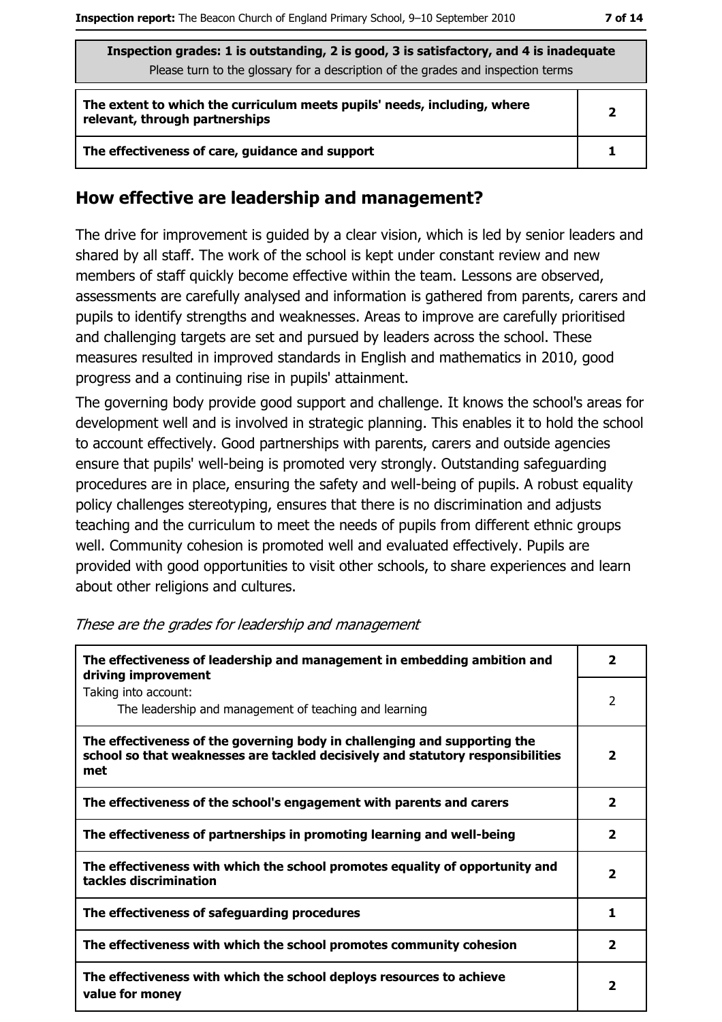| Inspection grades: 1 is outstanding, 2 is good, 3 is satisfactory, and 4 is inadequate |  |
|----------------------------------------------------------------------------------------|--|
| Please turn to the glossary for a description of the grades and inspection terms       |  |
|                                                                                        |  |
|                                                                                        |  |

| The extent to which the curriculum meets pupils' needs, including, where<br>relevant, through partnerships |  |  |
|------------------------------------------------------------------------------------------------------------|--|--|
| The effectiveness of care, guidance and support                                                            |  |  |

#### How effective are leadership and management?

The drive for improvement is guided by a clear vision, which is led by senior leaders and shared by all staff. The work of the school is kept under constant review and new members of staff quickly become effective within the team. Lessons are observed, assessments are carefully analysed and information is gathered from parents, carers and pupils to identify strengths and weaknesses. Areas to improve are carefully prioritised and challenging targets are set and pursued by leaders across the school. These measures resulted in improved standards in English and mathematics in 2010, good progress and a continuing rise in pupils' attainment.

The governing body provide good support and challenge. It knows the school's areas for development well and is involved in strategic planning. This enables it to hold the school to account effectively. Good partnerships with parents, carers and outside agencies ensure that pupils' well-being is promoted very strongly. Outstanding safeguarding procedures are in place, ensuring the safety and well-being of pupils. A robust equality policy challenges stereotyping, ensures that there is no discrimination and adjusts teaching and the curriculum to meet the needs of pupils from different ethnic groups well. Community cohesion is promoted well and evaluated effectively. Pupils are provided with good opportunities to visit other schools, to share experiences and learn about other religions and cultures.

| The effectiveness of leadership and management in embedding ambition and<br>driving improvement                                                                     |                         |  |  |
|---------------------------------------------------------------------------------------------------------------------------------------------------------------------|-------------------------|--|--|
| Taking into account:<br>The leadership and management of teaching and learning                                                                                      | $\overline{2}$          |  |  |
| The effectiveness of the governing body in challenging and supporting the<br>school so that weaknesses are tackled decisively and statutory responsibilities<br>met | $\overline{\mathbf{2}}$ |  |  |
| The effectiveness of the school's engagement with parents and carers                                                                                                | 2                       |  |  |
| The effectiveness of partnerships in promoting learning and well-being                                                                                              | 2                       |  |  |
| The effectiveness with which the school promotes equality of opportunity and<br>tackles discrimination                                                              | 2                       |  |  |
| The effectiveness of safeguarding procedures                                                                                                                        | 1                       |  |  |
| The effectiveness with which the school promotes community cohesion                                                                                                 | 2                       |  |  |
| The effectiveness with which the school deploys resources to achieve<br>value for money                                                                             | $\mathbf{2}$            |  |  |

#### These are the grades for leadership and management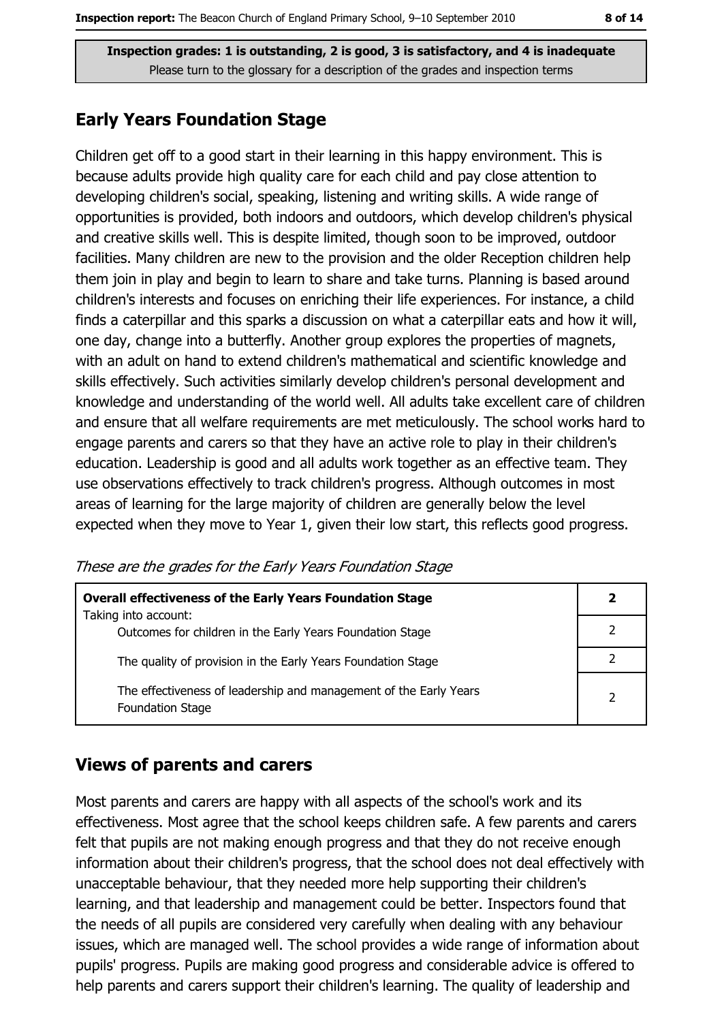#### **Early Years Foundation Stage**

Children get off to a good start in their learning in this happy environment. This is because adults provide high quality care for each child and pay close attention to developing children's social, speaking, listening and writing skills. A wide range of opportunities is provided, both indoors and outdoors, which develop children's physical and creative skills well. This is despite limited, though soon to be improved, outdoor facilities. Many children are new to the provision and the older Reception children help them join in play and begin to learn to share and take turns. Planning is based around children's interests and focuses on enriching their life experiences. For instance, a child finds a caterpillar and this sparks a discussion on what a caterpillar eats and how it will, one day, change into a butterfly. Another group explores the properties of magnets, with an adult on hand to extend children's mathematical and scientific knowledge and skills effectively. Such activities similarly develop children's personal development and knowledge and understanding of the world well. All adults take excellent care of children and ensure that all welfare requirements are met meticulously. The school works hard to engage parents and carers so that they have an active role to play in their children's education. Leadership is good and all adults work together as an effective team. They use observations effectively to track children's progress. Although outcomes in most areas of learning for the large majority of children are generally below the level expected when they move to Year 1, given their low start, this reflects good progress.

These are the grades for the Early Years Foundation Stage

| <b>Overall effectiveness of the Early Years Foundation Stage</b><br>Taking into account:     | $\mathbf{2}$  |
|----------------------------------------------------------------------------------------------|---------------|
| Outcomes for children in the Early Years Foundation Stage                                    |               |
| The quality of provision in the Early Years Foundation Stage                                 |               |
| The effectiveness of leadership and management of the Early Years<br><b>Foundation Stage</b> | $\mathcal{P}$ |

#### **Views of parents and carers**

Most parents and carers are happy with all aspects of the school's work and its effectiveness. Most agree that the school keeps children safe. A few parents and carers felt that pupils are not making enough progress and that they do not receive enough information about their children's progress, that the school does not deal effectively with unacceptable behaviour, that they needed more help supporting their children's learning, and that leadership and management could be better. Inspectors found that the needs of all pupils are considered very carefully when dealing with any behaviour issues, which are managed well. The school provides a wide range of information about pupils' progress. Pupils are making good progress and considerable advice is offered to help parents and carers support their children's learning. The quality of leadership and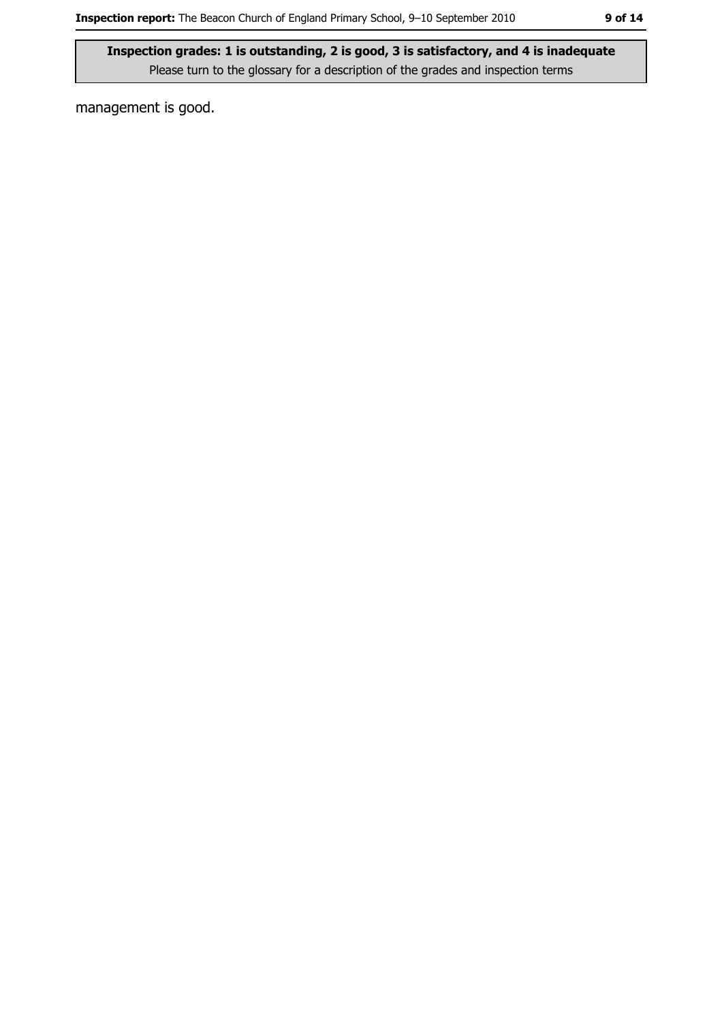management is good.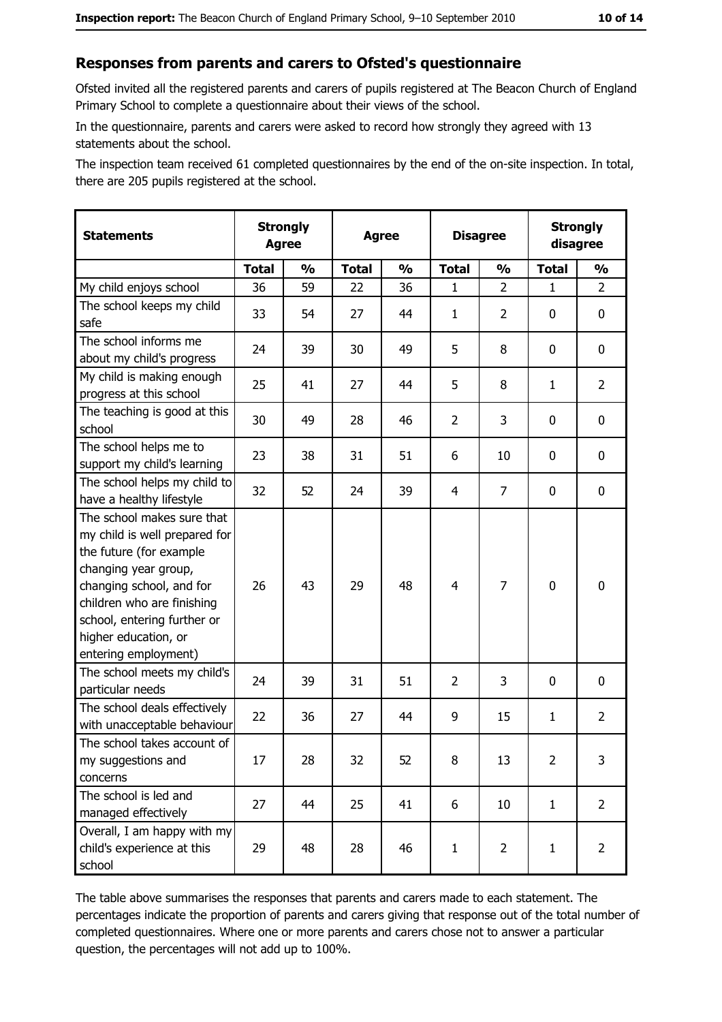#### Responses from parents and carers to Ofsted's questionnaire

Ofsted invited all the registered parents and carers of pupils registered at The Beacon Church of England Primary School to complete a questionnaire about their views of the school.

In the questionnaire, parents and carers were asked to record how strongly they agreed with 13 statements about the school.

The inspection team received 61 completed questionnaires by the end of the on-site inspection. In total, there are 205 pupils registered at the school.

| <b>Statements</b>                                                                                                                                                                                                                                       | <b>Strongly</b><br><b>Agree</b> |               | <b>Agree</b> |               |                | <b>Disagree</b> |                | <b>Strongly</b><br>disagree |
|---------------------------------------------------------------------------------------------------------------------------------------------------------------------------------------------------------------------------------------------------------|---------------------------------|---------------|--------------|---------------|----------------|-----------------|----------------|-----------------------------|
|                                                                                                                                                                                                                                                         | <b>Total</b>                    | $\frac{0}{0}$ | <b>Total</b> | $\frac{0}{0}$ | <b>Total</b>   | $\frac{0}{0}$   | <b>Total</b>   | $\frac{0}{0}$               |
| My child enjoys school                                                                                                                                                                                                                                  | 36                              | 59            | 22           | 36            | 1              | $\overline{2}$  | $\mathbf{1}$   | $\overline{2}$              |
| The school keeps my child<br>safe                                                                                                                                                                                                                       | 33                              | 54            | 27           | 44            | $\mathbf{1}$   | 2               | 0              | 0                           |
| The school informs me<br>about my child's progress                                                                                                                                                                                                      | 24                              | 39            | 30           | 49            | 5              | 8               | 0              | $\mathbf 0$                 |
| My child is making enough<br>progress at this school                                                                                                                                                                                                    | 25                              | 41            | 27           | 44            | 5              | 8               | $\mathbf{1}$   | $\overline{2}$              |
| The teaching is good at this<br>school                                                                                                                                                                                                                  | 30                              | 49            | 28           | 46            | $\overline{2}$ | 3               | 0              | $\mathbf 0$                 |
| The school helps me to<br>support my child's learning                                                                                                                                                                                                   | 23                              | 38            | 31           | 51            | 6              | 10              | 0              | $\mathbf 0$                 |
| The school helps my child to<br>have a healthy lifestyle                                                                                                                                                                                                | 32                              | 52            | 24           | 39            | $\overline{4}$ | $\overline{7}$  | 0              | $\mathbf 0$                 |
| The school makes sure that<br>my child is well prepared for<br>the future (for example<br>changing year group,<br>changing school, and for<br>children who are finishing<br>school, entering further or<br>higher education, or<br>entering employment) | 26                              | 43            | 29           | 48            | $\overline{4}$ | 7               | $\mathbf 0$    | $\mathbf 0$                 |
| The school meets my child's<br>particular needs                                                                                                                                                                                                         | 24                              | 39            | 31           | 51            | $\overline{2}$ | 3               | 0              | $\mathbf 0$                 |
| The school deals effectively<br>with unacceptable behaviour                                                                                                                                                                                             | 22                              | 36            | 27           | 44            | 9              | 15              | $\mathbf{1}$   | $\overline{2}$              |
| The school takes account of<br>my suggestions and<br>concerns                                                                                                                                                                                           | 17                              | 28            | 32           | 52            | 8              | 13              | $\overline{2}$ | 3                           |
| The school is led and<br>managed effectively                                                                                                                                                                                                            | 27                              | 44            | 25           | 41            | 6              | 10              | $\mathbf{1}$   | $\overline{2}$              |
| Overall, I am happy with my<br>child's experience at this<br>school                                                                                                                                                                                     | 29                              | 48            | 28           | 46            | $\mathbf{1}$   | $\overline{2}$  | $\mathbf{1}$   | $\overline{2}$              |

The table above summarises the responses that parents and carers made to each statement. The percentages indicate the proportion of parents and carers giving that response out of the total number of completed questionnaires. Where one or more parents and carers chose not to answer a particular question, the percentages will not add up to 100%.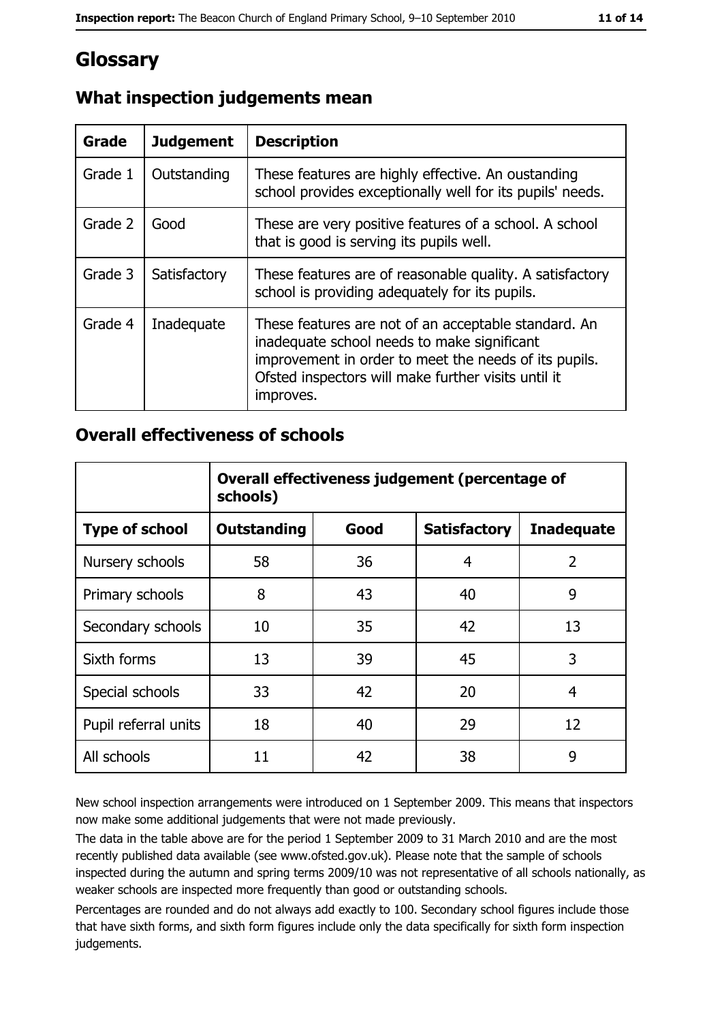### Glossary

| Grade   | <b>Judgement</b> | <b>Description</b>                                                                                                                                                                                                               |
|---------|------------------|----------------------------------------------------------------------------------------------------------------------------------------------------------------------------------------------------------------------------------|
| Grade 1 | Outstanding      | These features are highly effective. An oustanding<br>school provides exceptionally well for its pupils' needs.                                                                                                                  |
| Grade 2 | Good             | These are very positive features of a school. A school<br>that is good is serving its pupils well.                                                                                                                               |
| Grade 3 | Satisfactory     | These features are of reasonable quality. A satisfactory<br>school is providing adequately for its pupils.                                                                                                                       |
| Grade 4 | Inadequate       | These features are not of an acceptable standard. An<br>inadequate school needs to make significant<br>improvement in order to meet the needs of its pupils.<br>Ofsted inspectors will make further visits until it<br>improves. |

### What inspection judgements mean

#### **Overall effectiveness of schools**

|                       | Overall effectiveness judgement (percentage of<br>schools) |      |                     |                   |  |  |
|-----------------------|------------------------------------------------------------|------|---------------------|-------------------|--|--|
| <b>Type of school</b> | <b>Outstanding</b>                                         | Good | <b>Satisfactory</b> | <b>Inadequate</b> |  |  |
| Nursery schools       | 58                                                         | 36   | 4                   | $\overline{2}$    |  |  |
| Primary schools       | 8                                                          | 43   | 40                  | 9                 |  |  |
| Secondary schools     | 10                                                         | 35   | 42                  | 13                |  |  |
| Sixth forms           | 13                                                         | 39   | 45                  | 3                 |  |  |
| Special schools       | 33                                                         | 42   | 20                  | 4                 |  |  |
| Pupil referral units  | 18                                                         | 40   | 29                  | 12                |  |  |
| All schools           | 11                                                         | 42   | 38                  | 9                 |  |  |

New school inspection arrangements were introduced on 1 September 2009. This means that inspectors now make some additional judgements that were not made previously.

The data in the table above are for the period 1 September 2009 to 31 March 2010 and are the most recently published data available (see www.ofsted.gov.uk). Please note that the sample of schools inspected during the autumn and spring terms 2009/10 was not representative of all schools nationally, as weaker schools are inspected more frequently than good or outstanding schools.

Percentages are rounded and do not always add exactly to 100. Secondary school figures include those that have sixth forms, and sixth form figures include only the data specifically for sixth form inspection judgements.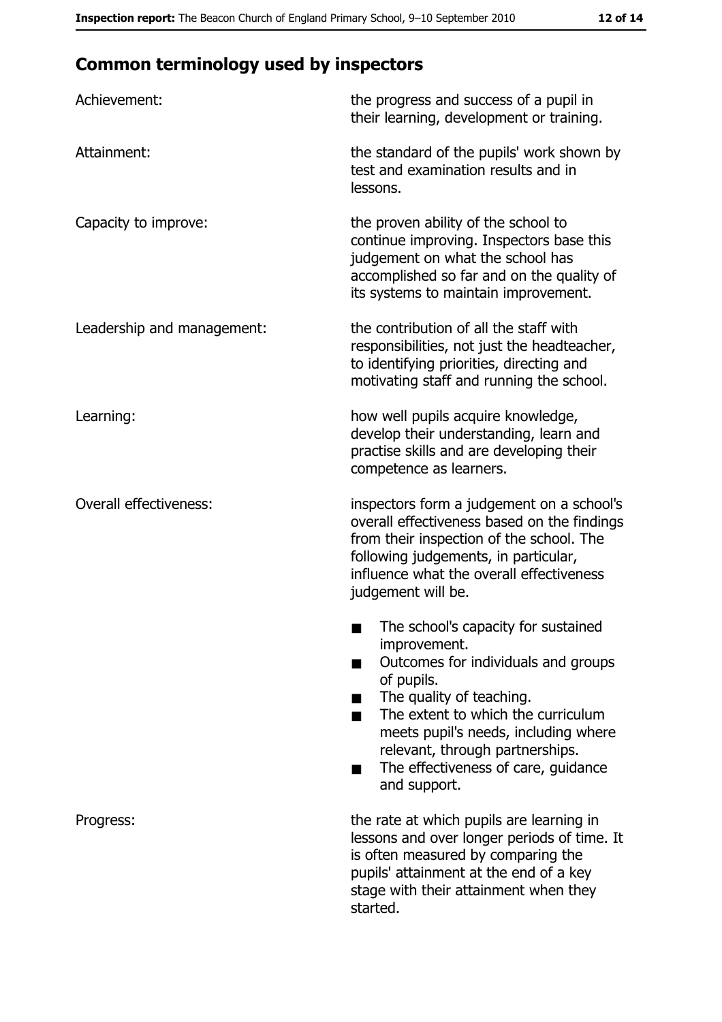### **Common terminology used by inspectors**

| Achievement:                  | the progress and success of a pupil in<br>their learning, development or training.                                                                                                                                                                                                                           |  |  |
|-------------------------------|--------------------------------------------------------------------------------------------------------------------------------------------------------------------------------------------------------------------------------------------------------------------------------------------------------------|--|--|
| Attainment:                   | the standard of the pupils' work shown by<br>test and examination results and in<br>lessons.                                                                                                                                                                                                                 |  |  |
| Capacity to improve:          | the proven ability of the school to<br>continue improving. Inspectors base this<br>judgement on what the school has<br>accomplished so far and on the quality of<br>its systems to maintain improvement.                                                                                                     |  |  |
| Leadership and management:    | the contribution of all the staff with<br>responsibilities, not just the headteacher,<br>to identifying priorities, directing and<br>motivating staff and running the school.                                                                                                                                |  |  |
| Learning:                     | how well pupils acquire knowledge,<br>develop their understanding, learn and<br>practise skills and are developing their<br>competence as learners.                                                                                                                                                          |  |  |
| <b>Overall effectiveness:</b> | inspectors form a judgement on a school's<br>overall effectiveness based on the findings<br>from their inspection of the school. The<br>following judgements, in particular,<br>influence what the overall effectiveness<br>judgement will be.                                                               |  |  |
|                               | The school's capacity for sustained<br>improvement.<br>Outcomes for individuals and groups<br>of pupils.<br>The quality of teaching.<br>The extent to which the curriculum<br>meets pupil's needs, including where<br>relevant, through partnerships.<br>The effectiveness of care, guidance<br>and support. |  |  |
| Progress:                     | the rate at which pupils are learning in<br>lessons and over longer periods of time. It<br>is often measured by comparing the<br>pupils' attainment at the end of a key<br>stage with their attainment when they<br>started.                                                                                 |  |  |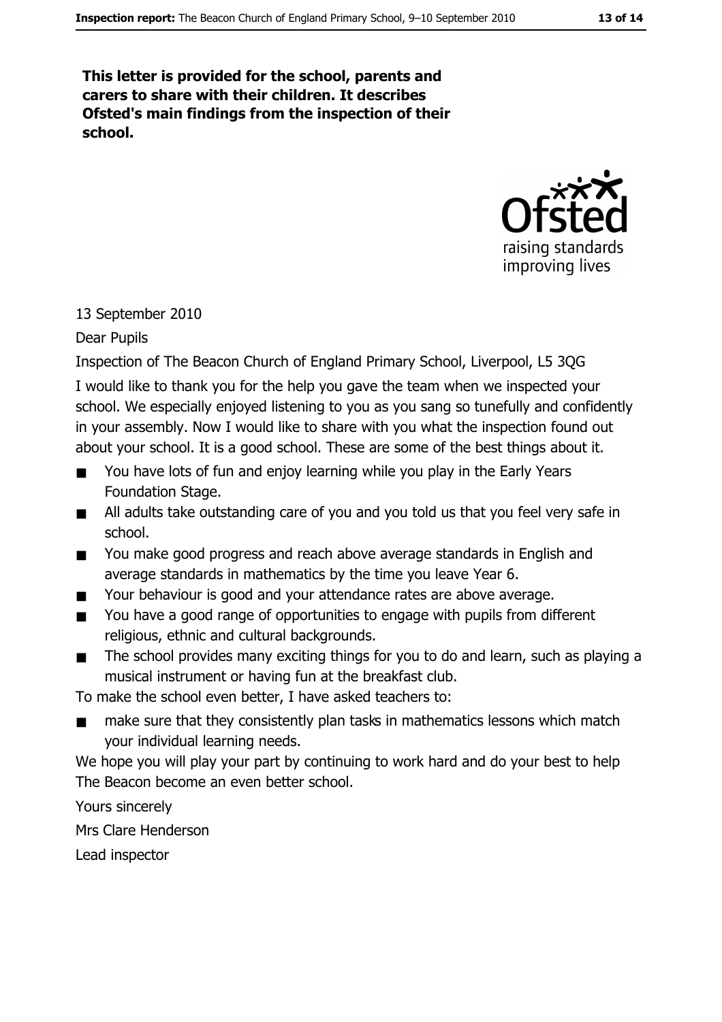This letter is provided for the school, parents and carers to share with their children. It describes Ofsted's main findings from the inspection of their school.



#### 13 September 2010

#### Dear Pupils

Inspection of The Beacon Church of England Primary School, Liverpool, L5 3QG

I would like to thank you for the help you gave the team when we inspected your school. We especially enjoyed listening to you as you sang so tunefully and confidently in your assembly. Now I would like to share with you what the inspection found out about your school. It is a good school. These are some of the best things about it.

- You have lots of fun and enjoy learning while you play in the Early Years  $\blacksquare$ Foundation Stage.
- All adults take outstanding care of you and you told us that you feel very safe in  $\blacksquare$ school.
- You make good progress and reach above average standards in English and  $\blacksquare$ average standards in mathematics by the time you leave Year 6.
- Your behaviour is good and your attendance rates are above average.  $\blacksquare$
- You have a good range of opportunities to engage with pupils from different  $\blacksquare$ religious, ethnic and cultural backgrounds.
- The school provides many exciting things for you to do and learn, such as playing a  $\blacksquare$ musical instrument or having fun at the breakfast club.

To make the school even better, I have asked teachers to:

make sure that they consistently plan tasks in mathematics lessons which match vour individual learning needs.

We hope you will play your part by continuing to work hard and do your best to help The Beacon become an even better school.

Yours sincerely Mrs Clare Henderson Lead inspector